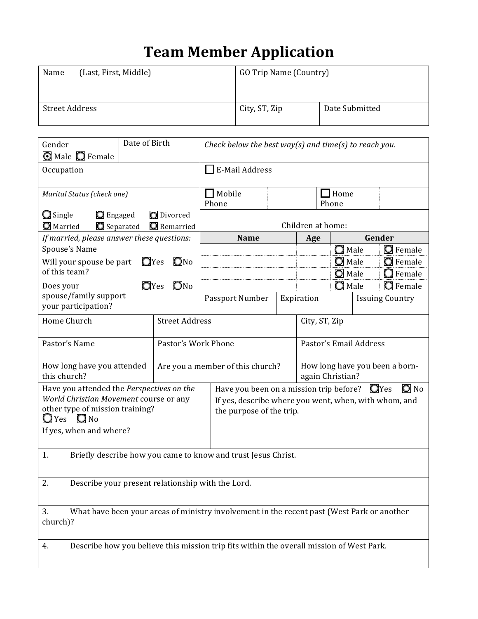## **Team Member Application**

| (Last, First, Middle)<br>Name | GO Trip Name (Country) |                |  |
|-------------------------------|------------------------|----------------|--|
| Street Address                | City, ST, Zip          | Date Submitted |  |
|                               |                        |                |  |

| Gender<br><b>O</b> Male <b>O</b> Female                                                                                                                             | Date of Birth         |                       | Check below the best way(s) and time(s) to reach you. |                                                                                                                                                          |     |               |                        |                           |                                    |
|---------------------------------------------------------------------------------------------------------------------------------------------------------------------|-----------------------|-----------------------|-------------------------------------------------------|----------------------------------------------------------------------------------------------------------------------------------------------------------|-----|---------------|------------------------|---------------------------|------------------------------------|
| Occupation                                                                                                                                                          |                       | $\Box$ E-Mail Address |                                                       |                                                                                                                                                          |     |               |                        |                           |                                    |
| Marital Status (check one)                                                                                                                                          |                       |                       | $\Box$ Mobile<br>$\Box$ Home<br>Phone<br>Phone        |                                                                                                                                                          |     |               |                        |                           |                                    |
| <b>O</b> Divorced<br>$\Box$ Single<br><b>Q</b> Engaged<br>Separated<br><b>O</b> Married<br>Remarried                                                                |                       |                       | Children at home:                                     |                                                                                                                                                          |     |               |                        |                           |                                    |
| If married, please answer these questions:                                                                                                                          |                       |                       |                                                       | <b>Name</b>                                                                                                                                              | Age |               |                        | Gender<br>$\bigcirc$ Male |                                    |
| Spouse's Name<br>Will your spouse be part                                                                                                                           |                       | $Q$ No<br>$Q$ Yes     |                                                       |                                                                                                                                                          |     |               | $\bigcirc$ Male        |                           | <b>O</b> Female<br><b>O</b> Female |
| of this team?                                                                                                                                                       |                       |                       |                                                       |                                                                                                                                                          |     |               | O Male                 |                           | $\bigcirc$ Female                  |
| Does your                                                                                                                                                           |                       | $Q$ Yes<br>$Q$ No     |                                                       |                                                                                                                                                          |     |               | $\bigcirc$ Male        |                           | <b>Q</b> Female                    |
| your participation?                                                                                                                                                 | spouse/family support |                       |                                                       | Passport Number                                                                                                                                          |     | Expiration    | <b>Issuing Country</b> |                           |                                    |
| Home Church                                                                                                                                                         |                       | <b>Street Address</b> |                                                       |                                                                                                                                                          |     | City, ST, Zip |                        |                           |                                    |
| Pastor's Name                                                                                                                                                       | Pastor's Work Phone   |                       |                                                       |                                                                                                                                                          |     |               | Pastor's Email Address |                           |                                    |
| How long have you attended<br>this church?                                                                                                                          |                       |                       |                                                       | Are you a member of this church?<br>How long have you been a born-<br>again Christian?                                                                   |     |               |                        |                           |                                    |
| Have you attended the Perspectives on the<br>World Christian Movement course or any<br>other type of mission training?<br>$Q$ Yes $Q$ No<br>If yes, when and where? |                       |                       |                                                       | $\bigcirc$ No<br>Have you been on a mission trip before? $\Box$ Yes<br>If yes, describe where you went, when, with whom, and<br>the purpose of the trip. |     |               |                        |                           |                                    |
| Briefly describe how you came to know and trust Jesus Christ.<br>1.                                                                                                 |                       |                       |                                                       |                                                                                                                                                          |     |               |                        |                           |                                    |
| 2.<br>Describe your present relationship with the Lord.                                                                                                             |                       |                       |                                                       |                                                                                                                                                          |     |               |                        |                           |                                    |
| What have been your areas of ministry involvement in the recent past (West Park or another<br>3.<br>church)?                                                        |                       |                       |                                                       |                                                                                                                                                          |     |               |                        |                           |                                    |
| Describe how you believe this mission trip fits within the overall mission of West Park.<br>4.                                                                      |                       |                       |                                                       |                                                                                                                                                          |     |               |                        |                           |                                    |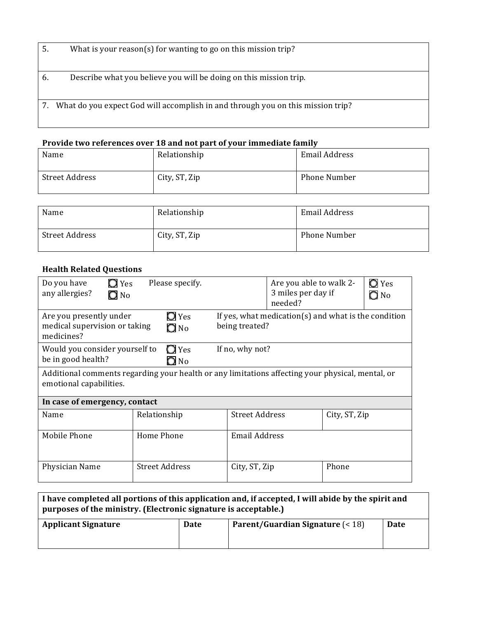| 5. | What is your reason(s) for wanting to go on this mission trip?                  |
|----|---------------------------------------------------------------------------------|
| 6. | Describe what you believe you will be doing on this mission trip.               |
|    | What do you expect God will accomplish in and through you on this mission trip? |

## **Provide two references over 18 and not part of your immediate family**

| Name           | Relationship  | <b>Email Address</b> |
|----------------|---------------|----------------------|
| Street Address | City, ST, Zip | Phone Number         |

| Name           | Relationship  | Email Address |
|----------------|---------------|---------------|
| Street Address | City, ST, Zip | Phone Number  |

## **Health Related Questions**

| Do you have<br>Yes<br>any allergies?<br>$\bigcirc$ No                                                                       | Please specify.               |                                                                            | Are you able to walk 2-<br>3 miles per day if<br>needed? | $\bigcirc$ Yes<br>$\bigcirc$ No |  |  |  |  |
|-----------------------------------------------------------------------------------------------------------------------------|-------------------------------|----------------------------------------------------------------------------|----------------------------------------------------------|---------------------------------|--|--|--|--|
| Are you presently under<br>medical supervision or taking<br>medicines?                                                      | $\Box$ Yes<br>$\bigcirc$ No   | If yes, what medication( $s$ ) and what is the condition<br>being treated? |                                                          |                                 |  |  |  |  |
| Would you consider yourself to<br>$\Box$ Yes<br>If no, why not?<br>be in good health?<br>$\Box$ No                          |                               |                                                                            |                                                          |                                 |  |  |  |  |
| Additional comments regarding your health or any limitations affecting your physical, mental, or<br>emotional capabilities. |                               |                                                                            |                                                          |                                 |  |  |  |  |
|                                                                                                                             | In case of emergency, contact |                                                                            |                                                          |                                 |  |  |  |  |
| Name                                                                                                                        | Relationship                  | <b>Street Address</b>                                                      | City, ST, Zip                                            |                                 |  |  |  |  |
| Mobile Phone                                                                                                                | Home Phone                    | <b>Email Address</b>                                                       |                                                          |                                 |  |  |  |  |
| Physician Name                                                                                                              | <b>Street Address</b>         | City, ST, Zip                                                              | Phone                                                    |                                 |  |  |  |  |

| I have completed all portions of this application and, if accepted, I will abide by the spirit and<br>purposes of the ministry. (Electronic signature is acceptable.) |                                     |      |  |  |  |
|-----------------------------------------------------------------------------------------------------------------------------------------------------------------------|-------------------------------------|------|--|--|--|
| <b>Applicant Signature</b><br>Date                                                                                                                                    | Parent/Guardian Signature $( < 18)$ | Date |  |  |  |